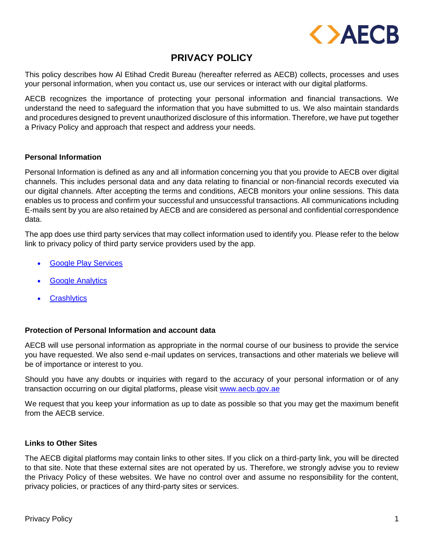

# **PRIVACY POLICY**

This policy describes how Al Etihad Credit Bureau (hereafter referred as AECB) collects, processes and uses your personal information, when you contact us, use our services or interact with our digital platforms.

AECB recognizes the importance of protecting your personal information and financial transactions. We understand the need to safeguard the information that you have submitted to us. We also maintain standards and procedures designed to prevent unauthorized disclosure of this information. Therefore, we have put together a Privacy Policy and approach that respect and address your needs.

# **Personal Information**

Personal Information is defined as any and all information concerning you that you provide to AECB over digital channels. This includes personal data and any data relating to financial or non-financial records executed via our digital channels. After accepting the terms and conditions, AECB monitors your online sessions. This data enables us to process and confirm your successful and unsuccessful transactions. All communications including E-mails sent by you are also retained by AECB and are considered as personal and confidential correspondence data.

The app does use third party services that may collect information used to identify you. Please refer to the below link to privacy policy of third party service providers used by the app.

- Google [Play Services](https://www.google.com/policies/privacy/)
- **[Google Analytics](https://policies.google.com/technologies/partner-sites)**
- [Crashlytics](https://fabric.io/dpst.pdf)

# **Protection of Personal Information and account data**

AECB will use personal information as appropriate in the normal course of our business to provide the service you have requested. We also send e-mail updates on services, transactions and other materials we believe will be of importance or interest to you.

Should you have any doubts or inquiries with regard to the accuracy of your personal information or of any transaction occurring on our digital platforms, please visi[t www.aecb.gov.ae](http://www.aecb.gov.ae/)

We request that you keep your information as up to date as possible so that you may get the maximum benefit from the AECB service.

## **Links to Other Sites**

The AECB digital platforms may contain links to other sites. If you click on a third-party link, you will be directed to that site. Note that these external sites are not operated by us. Therefore, we strongly advise you to review the Privacy Policy of these websites. We have no control over and assume no responsibility for the content, privacy policies, or practices of any third-party sites or services.